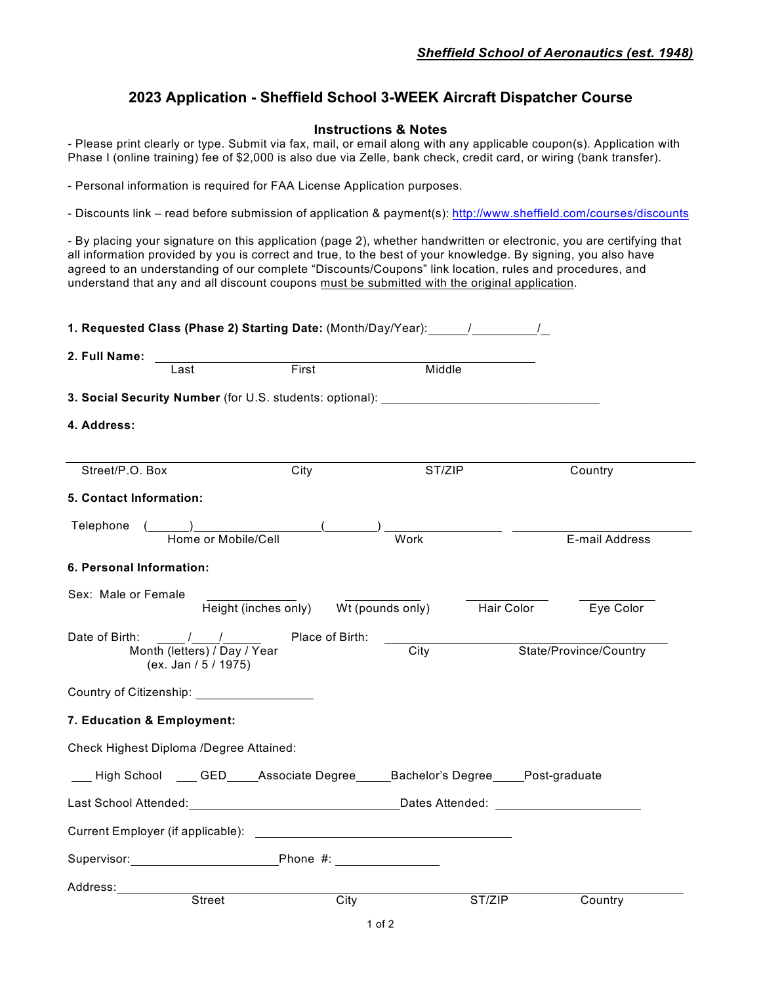## **2023 Application - Sheffield School 3-WEEK Aircraft Dispatcher Course**

## **Instructions & Notes**

- Please print clearly or type. Submit via fax, mail, or email along with any applicable coupon(s). Application with Phase I (online training) fee of \$2,000 is also due via Zelle, bank check, credit card, or wiring (bank transfer).

- Personal information is required for FAA License Application purposes.

- Discounts link – read before submission of application & payment(s): http://www.sheffield.com/courses/discounts

- By placing your signature on this application (page 2), whether handwritten or electronic, you are certifying that all information provided by you is correct and true, to the best of your knowledge. By signing, you also have agreed to an understanding of our complete "Discounts/Coupons" link location, rules and procedures, and understand that any and all discount coupons must be submitted with the original application.

| 2. Full Name:                                        |                                                |                                                                                                                                                                                                                                |                         |
|------------------------------------------------------|------------------------------------------------|--------------------------------------------------------------------------------------------------------------------------------------------------------------------------------------------------------------------------------|-------------------------|
| Last                                                 | First                                          | Middle                                                                                                                                                                                                                         |                         |
|                                                      |                                                | 3. Social Security Number (for U.S. students: optional): _______________________                                                                                                                                               |                         |
| 4. Address:                                          |                                                |                                                                                                                                                                                                                                |                         |
| Street/P.O. Box                                      | City                                           | ST/ZIP                                                                                                                                                                                                                         | Country                 |
| 5. Contact Information:                              |                                                |                                                                                                                                                                                                                                |                         |
| Telephone (                                          | $\begin{pmatrix} 1 & 1 \\ 1 & 1 \end{pmatrix}$ |                                                                                                                                                                                                                                |                         |
|                                                      | Home or Mobile/Cell                            | Work                                                                                                                                                                                                                           | E-mail Address          |
| 6. Personal Information:                             |                                                |                                                                                                                                                                                                                                |                         |
| Sex: Male or Female                                  |                                                |                                                                                                                                                                                                                                |                         |
|                                                      | Height (inches only) Wt (pounds only)          |                                                                                                                                                                                                                                | Hair Color<br>Eye Color |
| Date of Birth:                                       | / / Place of Birth:                            |                                                                                                                                                                                                                                |                         |
| Month (letters) / Day / Year<br>(ex. Jan / 5 / 1975) |                                                | $\overline{City}$                                                                                                                                                                                                              | State/Province/Country  |
| Country of Citizenship: ________________________     |                                                |                                                                                                                                                                                                                                |                         |
| 7. Education & Employment:                           |                                                |                                                                                                                                                                                                                                |                         |
| Check Highest Diploma /Degree Attained:              |                                                |                                                                                                                                                                                                                                |                         |
|                                                      |                                                | ____High School _____GED_____Associate Degree______Bachelor's Degree_____Post-graduate                                                                                                                                         |                         |
|                                                      |                                                | Last School Attended: National School Attended: National School Attended: National School Attended: National S                                                                                                                 |                         |
|                                                      |                                                | Current Employer (if applicable): Notified that the control of the control of the control of the control of the control of the control of the control of the control of the control of the control of the control of the contr |                         |
| Supervisor: Phone #:                                 |                                                |                                                                                                                                                                                                                                |                         |
|                                                      |                                                |                                                                                                                                                                                                                                |                         |
| <b>Street</b>                                        | City                                           | ST/ZIP                                                                                                                                                                                                                         | Country                 |